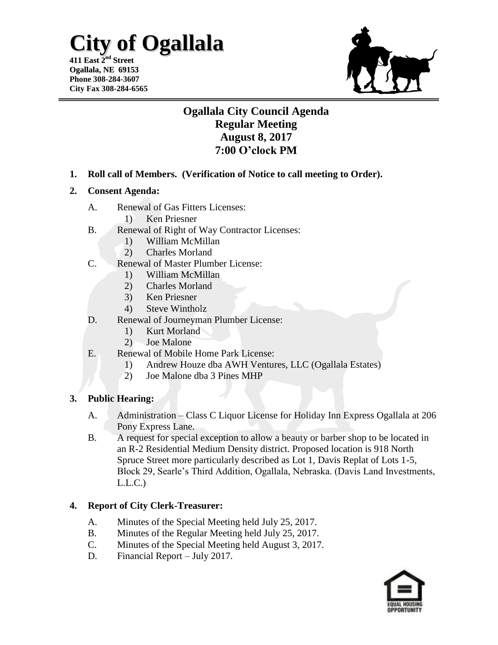## **City of Ogallala**

**411 East 2 nd Street Ogallala, NE 69153 Phone 308-284-3607 City Fax 308-284-6565**



### **Ogallala City Council Agenda Regular Meeting August 8, 2017 7:00 O'clock PM**

- **1. Roll call of Members. (Verification of Notice to call meeting to Order).**
- **2. Consent Agenda:**
	- A. Renewal of Gas Fitters Licenses:
		- 1) Ken Priesner
	- B. Renewal of Right of Way Contractor Licenses:
		- 1) William McMillan
		- 2) Charles Morland
	- C. Renewal of Master Plumber License:
		- 1) William McMillan
		- 2) Charles Morland
		- 3) Ken Priesner
		- 4) Steve Wintholz
	- D. Renewal of Journeyman Plumber License:
		- 1) Kurt Morland
		- 2) Joe Malone
	- E. Renewal of Mobile Home Park License:
		- 1) Andrew Houze dba AWH Ventures, LLC (Ogallala Estates)
		- 2) Joe Malone dba 3 Pines MHP

#### **3. Public Hearing:**

- A. Administration Class C Liquor License for Holiday Inn Express Ogallala at 206 Pony Express Lane.
- B. A request for special exception to allow a beauty or barber shop to be located in an R-2 Residential Medium Density district. Proposed location is 918 North Spruce Street more particularly described as Lot 1, Davis Replat of Lots 1-5, Block 29, Searle's Third Addition, Ogallala, Nebraska. (Davis Land Investments,  $L.L.C.)$

#### **4. Report of City Clerk-Treasurer:**

- A. Minutes of the Special Meeting held July 25, 2017.
- B. Minutes of the Regular Meeting held July 25, 2017.
- C. Minutes of the Special Meeting held August 3, 2017.
- D. Financial Report July 2017.